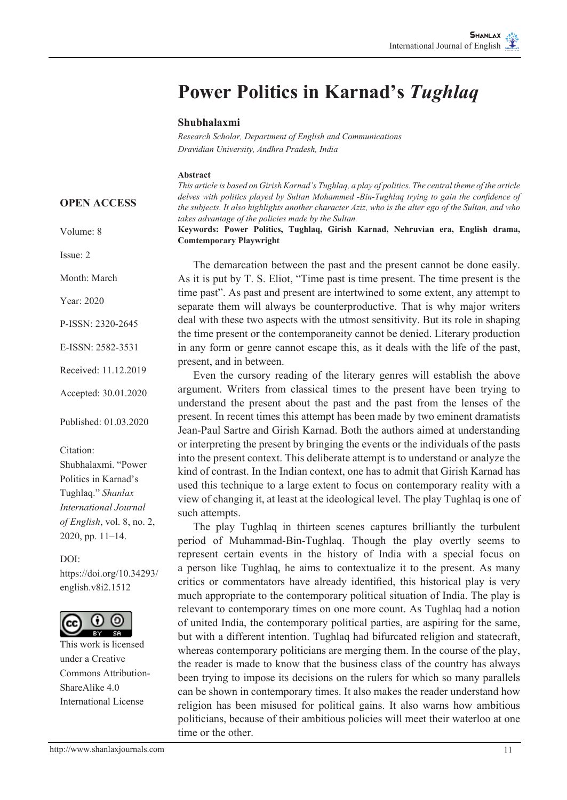# **Power Politics in Karnad's** *Tughlaq*

### **Shubhalaxmi**

*Research Scholar, Department of English and Communications Dravidian University, Andhra Pradesh, India*

#### **Abstract**

*This article is based on Girish Karnad's Tughlaq, a play of politics. The central theme of the article delves with politics played by Sultan Mohammed -Bin-Tughlaq trying to gain the confidence of the subjects. It also highlights another character Aziz, who is the alter ego of the Sultan, and who takes advantage of the policies made by the Sultan.* 

**Keywords: Power Politics, Tughlaq, Girish Karnad, Nehruvian era, English drama, Comtemporary Playwright**

The demarcation between the past and the present cannot be done easily. As it is put by T. S. Eliot, "Time past is time present. The time present is the time past". As past and present are intertwined to some extent, any attempt to separate them will always be counterproductive. That is why major writers deal with these two aspects with the utmost sensitivity. But its role in shaping the time present or the contemporaneity cannot be denied. Literary production in any form or genre cannot escape this, as it deals with the life of the past, present, and in between.

Even the cursory reading of the literary genres will establish the above argument. Writers from classical times to the present have been trying to understand the present about the past and the past from the lenses of the present. In recent times this attempt has been made by two eminent dramatists Jean-Paul Sartre and Girish Karnad. Both the authors aimed at understanding or interpreting the present by bringing the events or the individuals of the pasts into the present context. This deliberate attempt is to understand or analyze the kind of contrast. In the Indian context, one has to admit that Girish Karnad has used this technique to a large extent to focus on contemporary reality with a view of changing it, at least at the ideological level. The play Tughlaq is one of such attempts.

The play Tughlaq in thirteen scenes captures brilliantly the turbulent period of Muhammad-Bin-Tughlaq. Though the play overtly seems to represent certain events in the history of India with a special focus on a person like Tughlaq, he aims to contextualize it to the present. As many critics or commentators have already identified, this historical play is very much appropriate to the contemporary political situation of India. The play is relevant to contemporary times on one more count. As Tughlaq had a notion of united India, the contemporary political parties, are aspiring for the same, but with a different intention. Tughlaq had bifurcated religion and statecraft, whereas contemporary politicians are merging them. In the course of the play, the reader is made to know that the business class of the country has always been trying to impose its decisions on the rulers for which so many parallels can be shown in contemporary times. It also makes the reader understand how religion has been misused for political gains. It also warns how ambitious politicians, because of their ambitious policies will meet their waterloo at one time or the other.

#### **OPEN ACCESS**

Volume: 8

Issue: 2

Month: March

Year: 2020

P-ISSN: 2320-2645

E-ISSN: 2582-3531

Received: 11.12.2019

Accepted: 30.01.2020

Published: 01.03.2020

Citation:

Shubhalaxmi. "Power Politics in Karnad's Tughlaq." *Shanlax International Journal of English*, vol. 8, no. 2, 2020, pp. 11–14.

 $DOI<sup>+</sup>$ https://doi.org/10.34293/ english.v8i2.1512



This work is licensed under a Creative Commons Attribution-ShareAlike 4.0 International License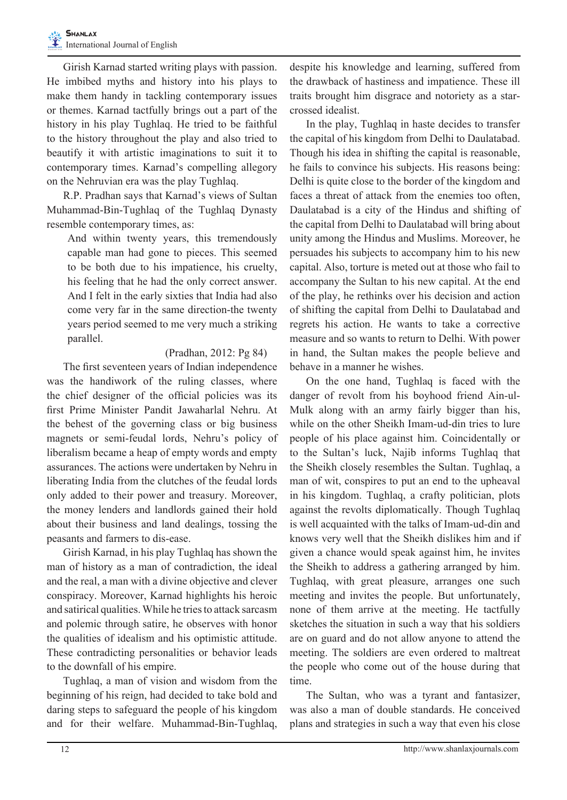Girish Karnad started writing plays with passion. He imbibed myths and history into his plays to make them handy in tackling contemporary issues or themes. Karnad tactfully brings out a part of the history in his play Tughlaq. He tried to be faithful to the history throughout the play and also tried to beautify it with artistic imaginations to suit it to contemporary times. Karnad's compelling allegory on the Nehruvian era was the play Tughlaq.

 R.P. Pradhan says that Karnad's views of Sultan Muhammad-Bin-Tughlaq of the Tughlaq Dynasty resemble contemporary times, as:

And within twenty years, this tremendously capable man had gone to pieces. This seemed to be both due to his impatience, his cruelty, his feeling that he had the only correct answer. And I felt in the early sixties that India had also come very far in the same direction-the twenty years period seemed to me very much a striking parallel.

## (Pradhan, 2012: Pg 84)

 The first seventeen years of Indian independence was the handiwork of the ruling classes, where the chief designer of the official policies was its first Prime Minister Pandit Jawaharlal Nehru. At the behest of the governing class or big business magnets or semi-feudal lords, Nehru's policy of liberalism became a heap of empty words and empty assurances. The actions were undertaken by Nehru in liberating India from the clutches of the feudal lords only added to their power and treasury. Moreover, the money lenders and landlords gained their hold about their business and land dealings, tossing the peasants and farmers to dis-ease.

 Girish Karnad, in his play Tughlaq has shown the man of history as a man of contradiction, the ideal and the real, a man with a divine objective and clever conspiracy. Moreover, Karnad highlights his heroic and satirical qualities.While he triesto attack sarcasm and polemic through satire, he observes with honor the qualities of idealism and his optimistic attitude. These contradicting personalities or behavior leads to the downfall of his empire.

 Tughlaq, a man of vision and wisdom from the beginning of his reign, had decided to take bold and daring steps to safeguard the people of his kingdom and for their welfare. Muhammad-Bin-Tughlaq, despite his knowledge and learning, suffered from the drawback of hastiness and impatience. These ill traits brought him disgrace and notoriety as a starcrossed idealist.

 In the play, Tughlaq in haste decides to transfer the capital of his kingdom from Delhi to Daulatabad. Though his idea in shifting the capital is reasonable, he fails to convince his subjects. His reasons being: Delhi is quite close to the border of the kingdom and faces a threat of attack from the enemies too often, Daulatabad is a city of the Hindus and shifting of the capital from Delhi to Daulatabad will bring about unity among the Hindus and Muslims. Moreover, he persuades his subjects to accompany him to his new capital. Also, torture is meted out at those who fail to accompany the Sultan to his new capital. At the end of the play, he rethinks over his decision and action of shifting the capital from Delhi to Daulatabad and regrets his action. He wants to take a corrective measure and so wants to return to Delhi. With power in hand, the Sultan makes the people believe and behave in a manner he wishes.

 On the one hand, Tughlaq is faced with the danger of revolt from his boyhood friend Ain-ul-Mulk along with an army fairly bigger than his, while on the other Sheikh Imam-ud-din tries to lure people of his place against him. Coincidentally or to the Sultan's luck, Najib informs Tughlaq that the Sheikh closely resembles the Sultan. Tughlaq, a man of wit, conspires to put an end to the upheaval in his kingdom. Tughlaq, a crafty politician, plots against the revolts diplomatically. Though Tughlaq is well acquainted with the talks of Imam-ud-din and knows very well that the Sheikh dislikes him and if given a chance would speak against him, he invites the Sheikh to address a gathering arranged by him. Tughlaq, with great pleasure, arranges one such meeting and invites the people. But unfortunately, none of them arrive at the meeting. He tactfully sketches the situation in such a way that his soldiers are on guard and do not allow anyone to attend the meeting. The soldiers are even ordered to maltreat the people who come out of the house during that time.

 The Sultan, who was a tyrant and fantasizer, was also a man of double standards. He conceived plans and strategies in such a way that even his close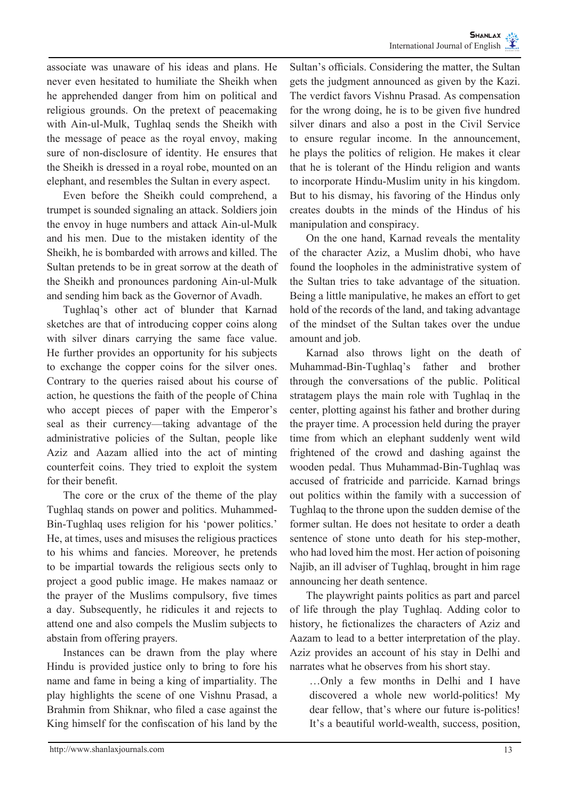associate was unaware of his ideas and plans. He never even hesitated to humiliate the Sheikh when he apprehended danger from him on political and religious grounds. On the pretext of peacemaking with Ain-ul-Mulk, Tughlaq sends the Sheikh with the message of peace as the royal envoy, making sure of non-disclosure of identity. He ensures that the Sheikh is dressed in a royal robe, mounted on an elephant, and resembles the Sultan in every aspect.

 Even before the Sheikh could comprehend, a trumpet is sounded signaling an attack. Soldiers join the envoy in huge numbers and attack Ain-ul-Mulk and his men. Due to the mistaken identity of the Sheikh, he is bombarded with arrows and killed. The Sultan pretends to be in great sorrow at the death of the Sheikh and pronounces pardoning Ain-ul-Mulk and sending him back as the Governor of Avadh.

 Tughlaq's other act of blunder that Karnad sketches are that of introducing copper coins along with silver dinars carrying the same face value. He further provides an opportunity for his subjects to exchange the copper coins for the silver ones. Contrary to the queries raised about his course of action, he questions the faith of the people of China who accept pieces of paper with the Emperor's seal as their currency—taking advantage of the administrative policies of the Sultan, people like Aziz and Aazam allied into the act of minting counterfeit coins. They tried to exploit the system for their benefit.

 The core or the crux of the theme of the play Tughlaq stands on power and politics. Muhammed-Bin-Tughlaq uses religion for his 'power politics.' He, at times, uses and misuses the religious practices to his whims and fancies. Moreover, he pretends to be impartial towards the religious sects only to project a good public image. He makes namaaz or the prayer of the Muslims compulsory, five times a day. Subsequently, he ridicules it and rejects to attend one and also compels the Muslim subjects to abstain from offering prayers.

 Instances can be drawn from the play where Hindu is provided justice only to bring to fore his name and fame in being a king of impartiality. The play highlights the scene of one Vishnu Prasad, a Brahmin from Shiknar, who filed a case against the King himself for the confiscation of his land by the

Sultan's officials. Considering the matter, the Sultan gets the judgment announced as given by the Kazi. The verdict favors Vishnu Prasad. As compensation for the wrong doing, he is to be given five hundred silver dinars and also a post in the Civil Service to ensure regular income. In the announcement, he plays the politics of religion. He makes it clear that he is tolerant of the Hindu religion and wants to incorporate Hindu-Muslim unity in his kingdom. But to his dismay, his favoring of the Hindus only creates doubts in the minds of the Hindus of his manipulation and conspiracy.

 On the one hand, Karnad reveals the mentality of the character Aziz, a Muslim dhobi, who have found the loopholes in the administrative system of the Sultan tries to take advantage of the situation. Being a little manipulative, he makes an effort to get hold of the records of the land, and taking advantage of the mindset of the Sultan takes over the undue amount and job.

 Karnad also throws light on the death of Muhammad-Bin-Tughlaq's father and brother through the conversations of the public. Political stratagem plays the main role with Tughlaq in the center, plotting against his father and brother during the prayer time. A procession held during the prayer time from which an elephant suddenly went wild frightened of the crowd and dashing against the wooden pedal. Thus Muhammad-Bin-Tughlaq was accused of fratricide and parricide. Karnad brings out politics within the family with a succession of Tughlaq to the throne upon the sudden demise of the former sultan. He does not hesitate to order a death sentence of stone unto death for his step-mother, who had loved him the most. Her action of poisoning Najib, an ill adviser of Tughlaq, brought in him rage announcing her death sentence.

 The playwright paints politics as part and parcel of life through the play Tughlaq. Adding color to history, he fictionalizes the characters of Aziz and Aazam to lead to a better interpretation of the play. Aziz provides an account of his stay in Delhi and narrates what he observes from his short stay.

…Only a few months in Delhi and I have discovered a whole new world-politics! My dear fellow, that's where our future is-politics! It's a beautiful world-wealth, success, position,